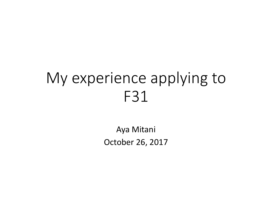# My experience applying to F31

Aya MitaniOctober 26, 2017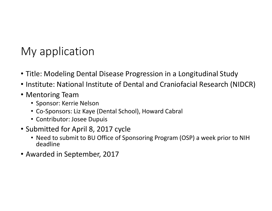### My application

- Title: Modeling Dental Disease Progression in a Longitudinal Study
- Institute: National Institute of Dental and Craniofacial Research (NIDCR)
- Mentoring Team
	- Sponsor: Kerrie Nelson
	- Co-Sponsors: Liz Kaye (Dental School), Howard Cabral
	- Contributor: Josee Dupuis
- Submitted for April 8, 2017 cycle
	- Need to submit to BU Office of Sponsoring Program (OSP) a week prior to NIH deadline
- Awarded in September, 2017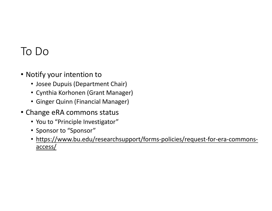#### To Do

- Notify your intention to
	- Josee Dupuis (Department Chair)
	- Cynthia Korhonen (Grant Manager)
	- Ginger Quinn (Financial Manager)
- Change eRA commons status
	- You to "Principle Investigator"
	- Sponsor to "Sponsor"
	- https://www.bu.edu/researchsupport/forms-policies/request-for-era-commonsaccess/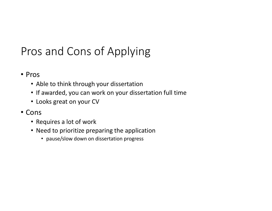# Pros and Cons of Applying

- Pros
	- Able to think through your dissertation
	- If awarded, you can work on your dissertation full time
	- Looks great on your CV
- Cons
	- Requires a lot of work
	- Need to prioritize preparing the application
		- pause/slow down on dissertation progress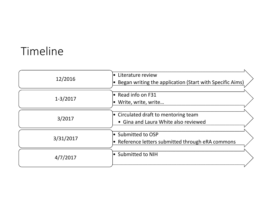# Timeline

| 12/2016      | Literature review<br>$\bullet$<br>Began writing the application (Start with Specific Aims) |
|--------------|--------------------------------------------------------------------------------------------|
| $1 - 3/2017$ | $\bullet$ Read info on F31<br>Write, write, write                                          |
| 3/2017       | $\bullet$ Circulated draft to mentoring team<br>• Gina and Laura White also reviewed       |
| 3/31/2017    | ● Submitted to OSP<br>$\bullet$ Reference letters submitted through eRA commons            |
| 4/7/2017     | $\bullet$ Submitted to NIH                                                                 |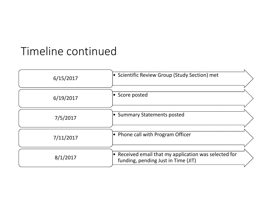## Timeline continued

| 6/15/2017 | • Scientific Review Group (Study Section) met                                                        |
|-----------|------------------------------------------------------------------------------------------------------|
| 6/19/2017 | Score posted                                                                                         |
| 7/5/2017  | • Summary Statements posted                                                                          |
| 7/11/2017 | $\bullet$ Phone call with Program Officer                                                            |
| 8/1/2017  | $\bullet$ Received email that my application was selected for<br>funding, pending Just in Time (JIT) |